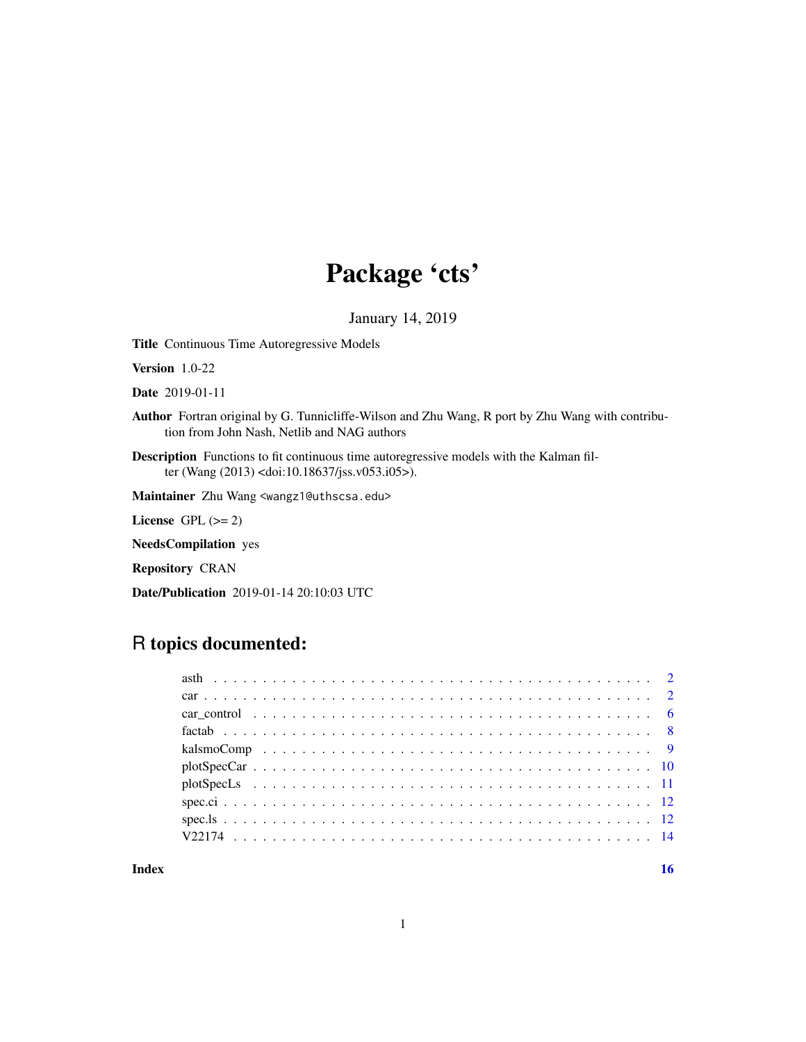# Package 'cts'

January 14, 2019

<span id="page-0-0"></span>Title Continuous Time Autoregressive Models

Version 1.0-22

Date 2019-01-11

Author Fortran original by G. Tunnicliffe-Wilson and Zhu Wang, R port by Zhu Wang with contribution from John Nash, Netlib and NAG authors

Description Functions to fit continuous time autoregressive models with the Kalman filter (Wang (2013) <doi:10.18637/jss.v053.i05>).

Maintainer Zhu Wang <wangz1@uthscsa.edu>

License GPL  $(>= 2)$ 

NeedsCompilation yes

Repository CRAN

Date/Publication 2019-01-14 20:10:03 UTC

# R topics documented:

| car control $\dots \dots \dots \dots \dots \dots \dots \dots \dots \dots \dots \dots \dots \dots \dots \dots \dots \dots$ |  |
|---------------------------------------------------------------------------------------------------------------------------|--|
|                                                                                                                           |  |
|                                                                                                                           |  |
|                                                                                                                           |  |
|                                                                                                                           |  |
|                                                                                                                           |  |
|                                                                                                                           |  |
|                                                                                                                           |  |
|                                                                                                                           |  |

**Index** and the contract of the contract of the contract of the contract of the contract of the contract of the contract of the contract of the contract of the contract of the contract of the contract of the contract of th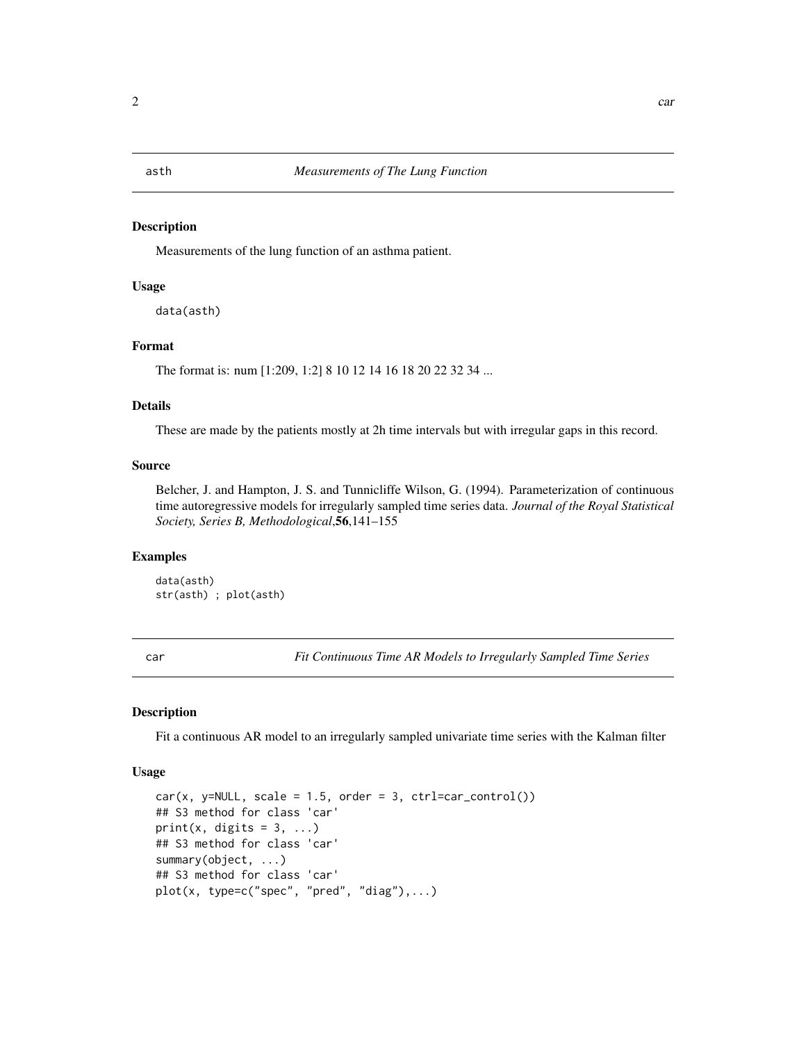#### <span id="page-1-0"></span>Description

Measurements of the lung function of an asthma patient.

# Usage

```
data(asth)
```
# Format

The format is: num [1:209, 1:2] 8 10 12 14 16 18 20 22 32 34 ...

#### Details

These are made by the patients mostly at 2h time intervals but with irregular gaps in this record.

#### Source

Belcher, J. and Hampton, J. S. and Tunnicliffe Wilson, G. (1994). Parameterization of continuous time autoregressive models for irregularly sampled time series data. *Journal of the Royal Statistical Society, Series B, Methodological*,56,141–155

# Examples

data(asth) str(asth) ; plot(asth)

<span id="page-1-1"></span>car *Fit Continuous Time AR Models to Irregularly Sampled Time Series*

#### <span id="page-1-2"></span>Description

Fit a continuous AR model to an irregularly sampled univariate time series with the Kalman filter

#### Usage

```
car(x, y=NULL, scale = 1.5, order = 3, ctr1=car\_control())## S3 method for class 'car'
print(x, digits = 3, ...)
## S3 method for class 'car'
summary(object, ...)
## S3 method for class 'car'
plot(x, type=c("spec", "pred", "diag"),...)
```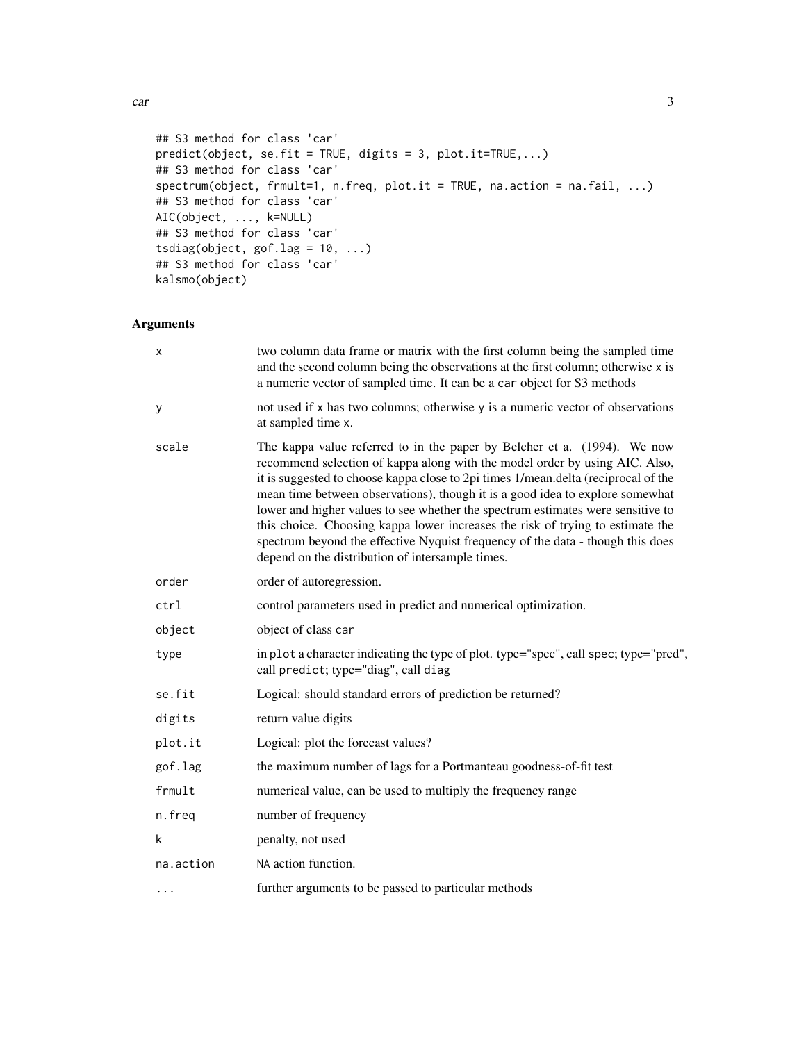car 3

```
## S3 method for class 'car'
predict(object, se.fit = TRUE, digits = 3, plot.it=TRUE,...)
## S3 method for class 'car'
spectrum(object, frmult=1, n.freq, plot.it = TRUE, na.action = na.fail, ...)
## S3 method for class 'car'
AIC(object, ..., k=NULL)
## S3 method for class 'car'
tsdiag(object, gof.lag = 10, ...)
## S3 method for class 'car'
kalsmo(object)
```
# Arguments

| x         | two column data frame or matrix with the first column being the sampled time<br>and the second column being the observations at the first column; otherwise x is<br>a numeric vector of sampled time. It can be a car object for S3 methods                                                                                                                                                                                                                                                                                                                                                                                               |
|-----------|-------------------------------------------------------------------------------------------------------------------------------------------------------------------------------------------------------------------------------------------------------------------------------------------------------------------------------------------------------------------------------------------------------------------------------------------------------------------------------------------------------------------------------------------------------------------------------------------------------------------------------------------|
| У         | not used if x has two columns; otherwise y is a numeric vector of observations<br>at sampled time x.                                                                                                                                                                                                                                                                                                                                                                                                                                                                                                                                      |
| scale     | The kappa value referred to in the paper by Belcher et a. (1994). We now<br>recommend selection of kappa along with the model order by using AIC. Also,<br>it is suggested to choose kappa close to 2pi times 1/mean.delta (reciprocal of the<br>mean time between observations), though it is a good idea to explore somewhat<br>lower and higher values to see whether the spectrum estimates were sensitive to<br>this choice. Choosing kappa lower increases the risk of trying to estimate the<br>spectrum beyond the effective Nyquist frequency of the data - though this does<br>depend on the distribution of intersample times. |
| order     | order of autoregression.                                                                                                                                                                                                                                                                                                                                                                                                                                                                                                                                                                                                                  |
| ctrl      | control parameters used in predict and numerical optimization.                                                                                                                                                                                                                                                                                                                                                                                                                                                                                                                                                                            |
| object    | object of class car                                                                                                                                                                                                                                                                                                                                                                                                                                                                                                                                                                                                                       |
| type      | in plot a character indicating the type of plot. type="spec", call spec; type="pred",<br>call predict; type="diag", call diag                                                                                                                                                                                                                                                                                                                                                                                                                                                                                                             |
| se.fit    | Logical: should standard errors of prediction be returned?                                                                                                                                                                                                                                                                                                                                                                                                                                                                                                                                                                                |
| digits    | return value digits                                                                                                                                                                                                                                                                                                                                                                                                                                                                                                                                                                                                                       |
| plot.it   | Logical: plot the forecast values?                                                                                                                                                                                                                                                                                                                                                                                                                                                                                                                                                                                                        |
| gof.lag   | the maximum number of lags for a Portmanteau goodness-of-fit test                                                                                                                                                                                                                                                                                                                                                                                                                                                                                                                                                                         |
| frmult    | numerical value, can be used to multiply the frequency range                                                                                                                                                                                                                                                                                                                                                                                                                                                                                                                                                                              |
| n.freq    | number of frequency                                                                                                                                                                                                                                                                                                                                                                                                                                                                                                                                                                                                                       |
| k         | penalty, not used                                                                                                                                                                                                                                                                                                                                                                                                                                                                                                                                                                                                                         |
| na.action | NA action function.                                                                                                                                                                                                                                                                                                                                                                                                                                                                                                                                                                                                                       |
| $\cdots$  | further arguments to be passed to particular methods                                                                                                                                                                                                                                                                                                                                                                                                                                                                                                                                                                                      |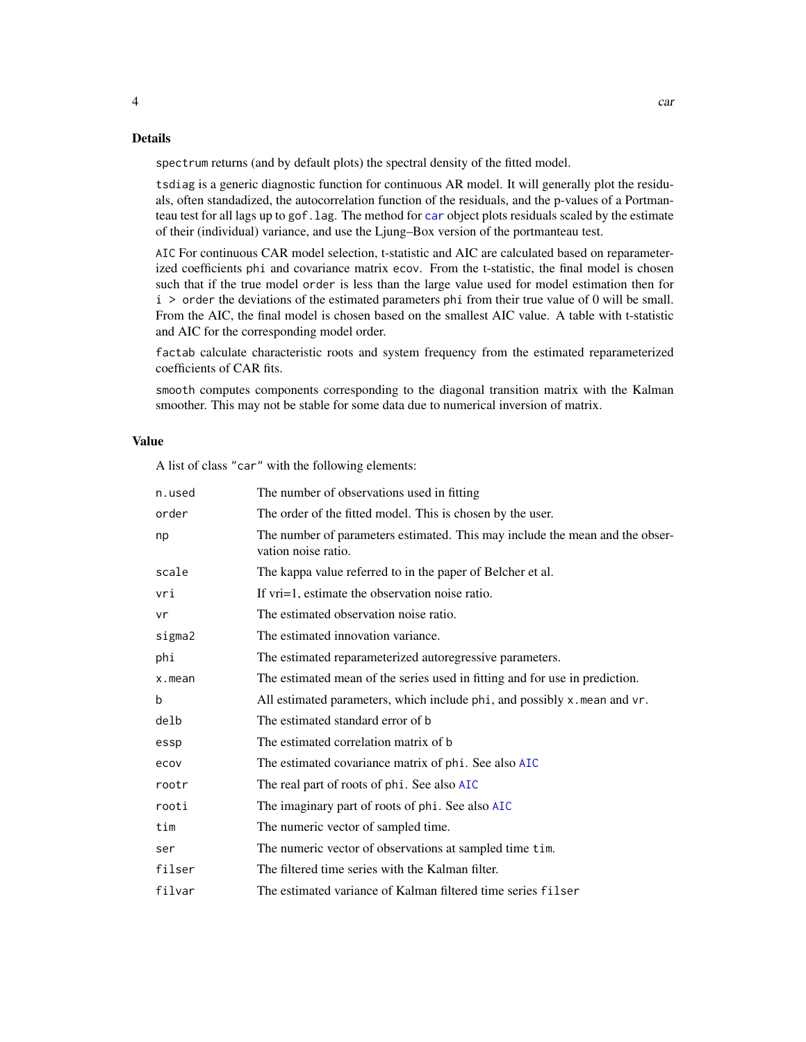<span id="page-3-0"></span>spectrum returns (and by default plots) the spectral density of the fitted model.

tsdiag is a generic diagnostic function for continuous AR model. It will generally plot the residuals, often standadized, the autocorrelation function of the residuals, and the p-values of a Portmanteau test for all lags up to gof.lag. The method for [car](#page-1-1) object plots residuals scaled by the estimate of their (individual) variance, and use the Ljung–Box version of the portmanteau test.

AIC For continuous CAR model selection, t-statistic and AIC are calculated based on reparameterized coefficients phi and covariance matrix ecov. From the t-statistic, the final model is chosen such that if the true model order is less than the large value used for model estimation then for i > order the deviations of the estimated parameters phi from their true value of 0 will be small. From the AIC, the final model is chosen based on the smallest AIC value. A table with t-statistic and AIC for the corresponding model order.

factab calculate characteristic roots and system frequency from the estimated reparameterized coefficients of CAR fits.

smooth computes components corresponding to the diagonal transition matrix with the Kalman smoother. This may not be stable for some data due to numerical inversion of matrix.

#### Value

A list of class "car" with the following elements:

| n.used | The number of observations used in fitting                                                          |
|--------|-----------------------------------------------------------------------------------------------------|
| order  | The order of the fitted model. This is chosen by the user.                                          |
| np     | The number of parameters estimated. This may include the mean and the obser-<br>vation noise ratio. |
| scale  | The kappa value referred to in the paper of Belcher et al.                                          |
| vri    | If vri=1, estimate the observation noise ratio.                                                     |
| vr     | The estimated observation noise ratio.                                                              |
| sigma2 | The estimated innovation variance.                                                                  |
| phi    | The estimated reparameterized autoregressive parameters.                                            |
| x.mean | The estimated mean of the series used in fitting and for use in prediction.                         |
| b      | All estimated parameters, which include phi, and possibly x. mean and vr.                           |
| delb   | The estimated standard error of b                                                                   |
| essp   | The estimated correlation matrix of b                                                               |
| ecov   | The estimated covariance matrix of phi. See also AIC                                                |
| rootr  | The real part of roots of phi. See also AIC                                                         |
| rooti  | The imaginary part of roots of phi. See also AIC                                                    |
| tim    | The numeric vector of sampled time.                                                                 |
| ser    | The numeric vector of observations at sampled time tim.                                             |
| filser | The filtered time series with the Kalman filter.                                                    |
| filvar | The estimated variance of Kalman filtered time series filser                                        |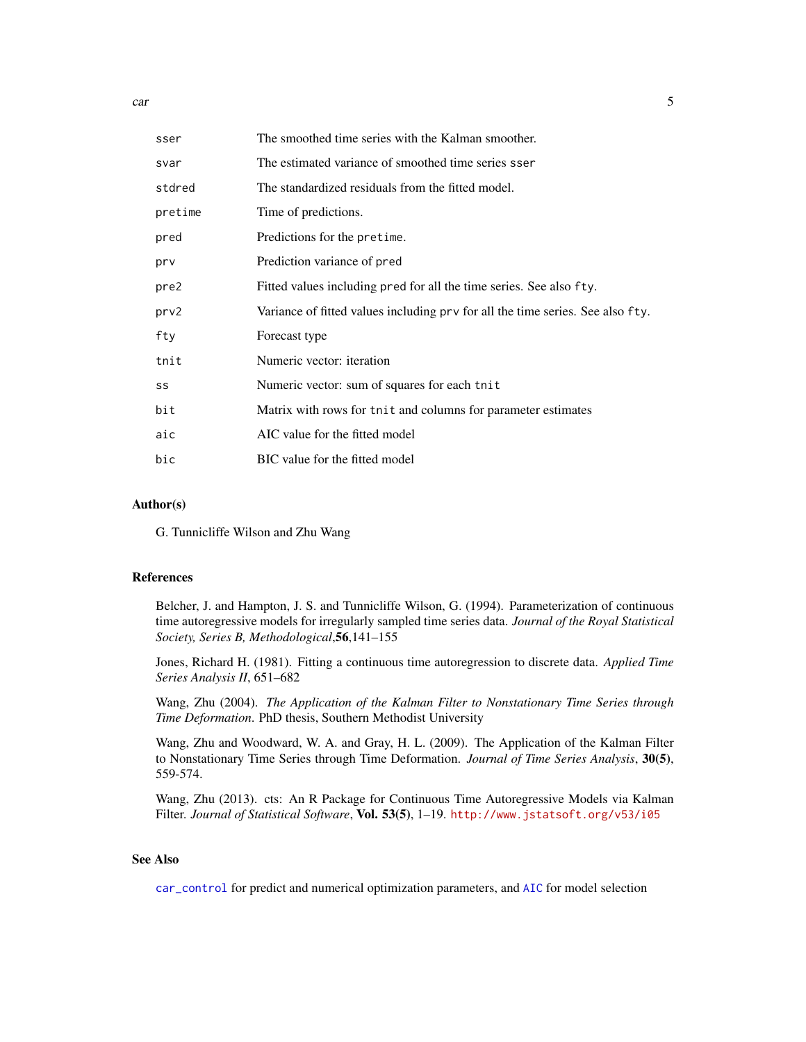<span id="page-4-0"></span>car 5

| sser    | The smoothed time series with the Kalman smoother.                             |
|---------|--------------------------------------------------------------------------------|
| svar    | The estimated variance of smoothed time series sser                            |
| stdred  | The standardized residuals from the fitted model.                              |
| pretime | Time of predictions.                                                           |
| pred    | Predictions for the pretime.                                                   |
| prv     | Prediction variance of pred                                                    |
| pre2    | Fitted values including pred for all the time series. See also fty.            |
| prv2    | Variance of fitted values including prv for all the time series. See also fty. |
| fty     | Forecast type                                                                  |
| tnit    | Numeric vector: iteration                                                      |
| SS      | Numeric vector: sum of squares for each tnit                                   |
| bit     | Matrix with rows for tnit and columns for parameter estimates                  |
| aic     | AIC value for the fitted model                                                 |
| bic     | BIC value for the fitted model                                                 |

# Author(s)

G. Tunnicliffe Wilson and Zhu Wang

# References

Belcher, J. and Hampton, J. S. and Tunnicliffe Wilson, G. (1994). Parameterization of continuous time autoregressive models for irregularly sampled time series data. *Journal of the Royal Statistical Society, Series B, Methodological*,56,141–155

Jones, Richard H. (1981). Fitting a continuous time autoregression to discrete data. *Applied Time Series Analysis II*, 651–682

Wang, Zhu (2004). *The Application of the Kalman Filter to Nonstationary Time Series through Time Deformation*. PhD thesis, Southern Methodist University

Wang, Zhu and Woodward, W. A. and Gray, H. L. (2009). The Application of the Kalman Filter to Nonstationary Time Series through Time Deformation. *Journal of Time Series Analysis*, 30(5), 559-574.

Wang, Zhu (2013). cts: An R Package for Continuous Time Autoregressive Models via Kalman Filter. *Journal of Statistical Software*, Vol. 53(5), 1–19. <http://www.jstatsoft.org/v53/i05>

# See Also

[car\\_control](#page-5-1) for predict and numerical optimization parameters, and [AIC](#page-0-0) for model selection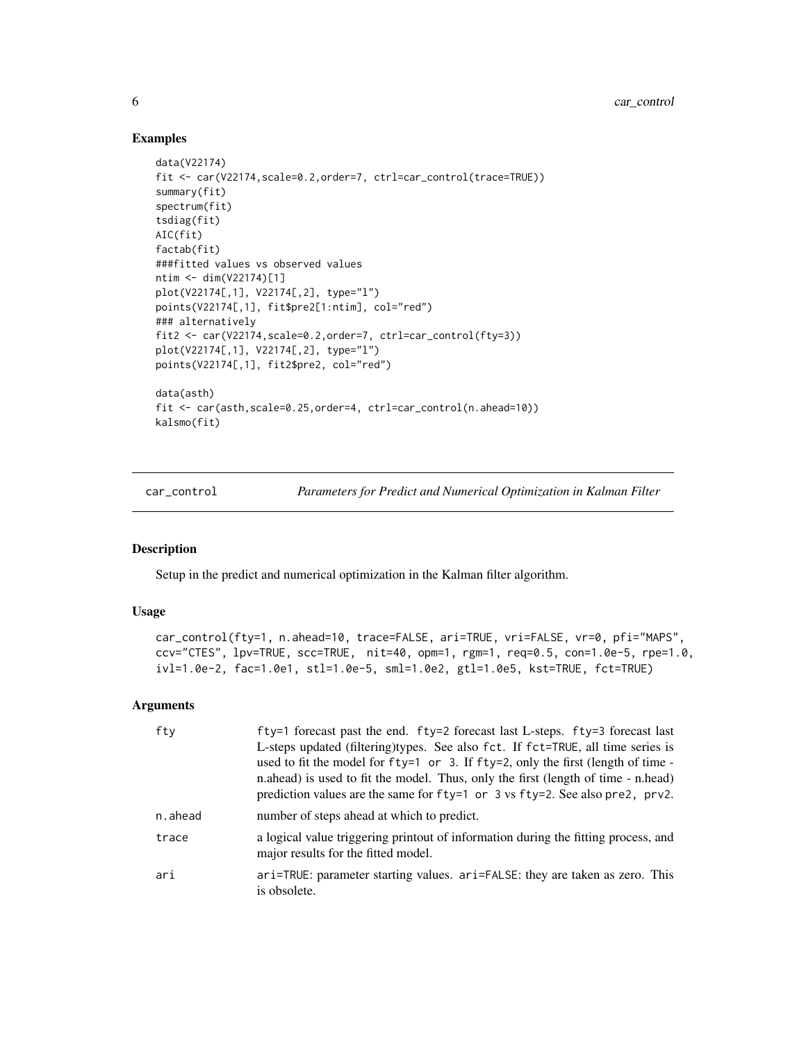# Examples

```
data(V22174)
fit <- car(V22174,scale=0.2,order=7, ctrl=car_control(trace=TRUE))
summary(fit)
spectrum(fit)
tsdiag(fit)
AIC(fit)
factab(fit)
###fitted values vs observed values
ntim <- dim(V22174)[1]
plot(V22174[,1], V22174[,2], type="l")
points(V22174[,1], fit$pre2[1:ntim], col="red")
### alternatively
fit2 <- car(V22174,scale=0.2,order=7, ctrl=car_control(fty=3))
plot(V22174[,1], V22174[,2], type="l")
points(V22174[,1], fit2$pre2, col="red")
data(asth)
fit <- car(asth,scale=0.25,order=4, ctrl=car_control(n.ahead=10))
kalsmo(fit)
```
<span id="page-5-1"></span>car\_control *Parameters for Predict and Numerical Optimization in Kalman Filter*

# Description

Setup in the predict and numerical optimization in the Kalman filter algorithm.

# Usage

```
car_control(fty=1, n.ahead=10, trace=FALSE, ari=TRUE, vri=FALSE, vr=0, pfi="MAPS",
ccv="CTES", lpv=TRUE, scc=TRUE, nit=40, opm=1, rgm=1, req=0.5, con=1.0e-5, rpe=1.0,
ivl=1.0e-2, fac=1.0e1, stl=1.0e-5, sml=1.0e2, gtl=1.0e5, kst=TRUE, fct=TRUE)
```
#### **Arguments**

| fty     | f ty=1 forecast past the end. f ty=2 forecast last L-steps. f ty=3 forecast last<br>L-steps updated (filtering)types. See also fct. If fct=TRUE, all time series is<br>used to fit the model for fty=1 or 3. If fty=2, only the first (length of time -<br>n.ahead) is used to fit the model. Thus, only the first (length of time - n.head)<br>prediction values are the same for $fty=1$ or 3 vs $fty=2$ . See also pre2, prv2. |
|---------|-----------------------------------------------------------------------------------------------------------------------------------------------------------------------------------------------------------------------------------------------------------------------------------------------------------------------------------------------------------------------------------------------------------------------------------|
| n.ahead | number of steps ahead at which to predict.                                                                                                                                                                                                                                                                                                                                                                                        |
| trace   | a logical value triggering printout of information during the fitting process, and<br>major results for the fitted model.                                                                                                                                                                                                                                                                                                         |
| ari     | ari=TRUE: parameter starting values. ari=FALSE: they are taken as zero. This<br>is obsolete.                                                                                                                                                                                                                                                                                                                                      |

<span id="page-5-0"></span>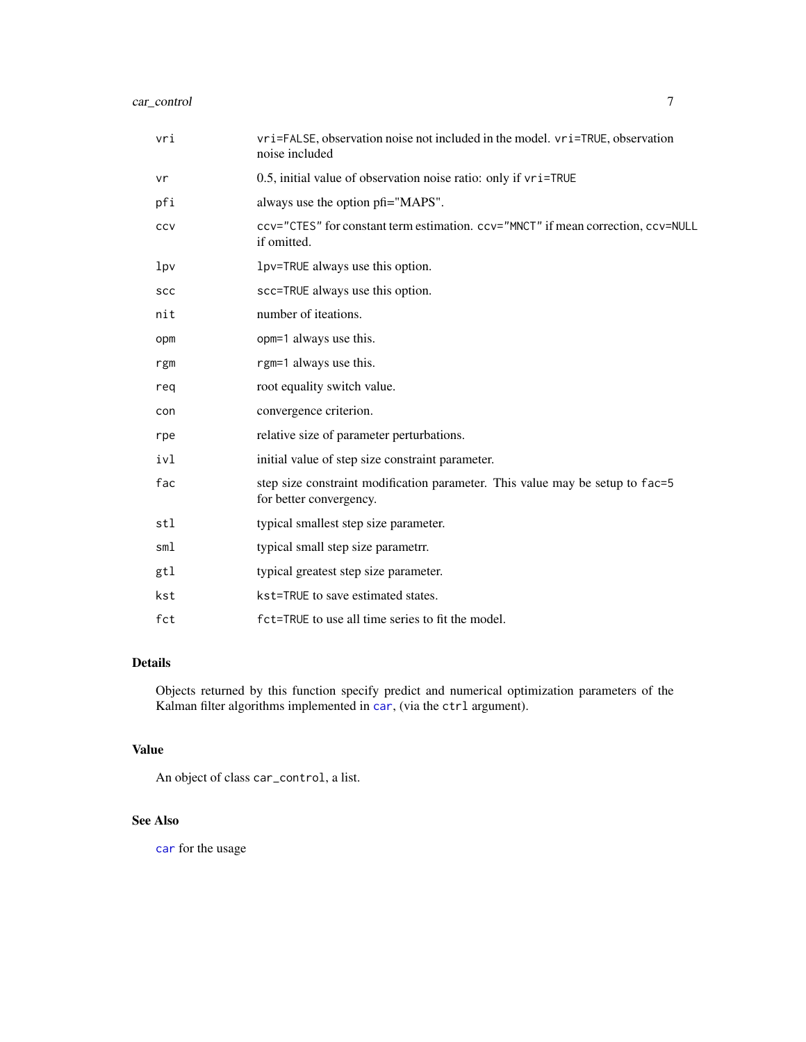<span id="page-6-0"></span>

| vri             | vri=FALSE, observation noise not included in the model. vri=TRUE, observation<br>noise included          |
|-----------------|----------------------------------------------------------------------------------------------------------|
| vr              | 0.5, initial value of observation noise ratio: only if vri=TRUE                                          |
| pfi             | always use the option pfi="MAPS".                                                                        |
| CCV             | ccv="CTES" for constant term estimation. ccv="MNCT" if mean correction, ccv=NULL<br>if omitted.          |
| 1p <sub>V</sub> | lpv=TRUE always use this option.                                                                         |
| <b>SCC</b>      | scc=TRUE always use this option.                                                                         |
| nit             | number of iteations.                                                                                     |
| opm             | opm=1 always use this.                                                                                   |
| rgm             | rgm=1 always use this.                                                                                   |
| reg             | root equality switch value.                                                                              |
| con             | convergence criterion.                                                                                   |
| rpe             | relative size of parameter perturbations.                                                                |
| ivl             | initial value of step size constraint parameter.                                                         |
| fac             | step size constraint modification parameter. This value may be setup to fac=5<br>for better convergency. |
| stl             | typical smallest step size parameter.                                                                    |
| sml             | typical small step size parametr.                                                                        |
| gtl             | typical greatest step size parameter.                                                                    |
| kst             | kst=TRUE to save estimated states.                                                                       |
| fct             | fct=TRUE to use all time series to fit the model.                                                        |

# Details

Objects returned by this function specify predict and numerical optimization parameters of the Kalman filter algorithms implemented in [car](#page-1-1), (via the ctrl argument).

# Value

An object of class car\_control, a list.

# See Also

[car](#page-1-1) for the usage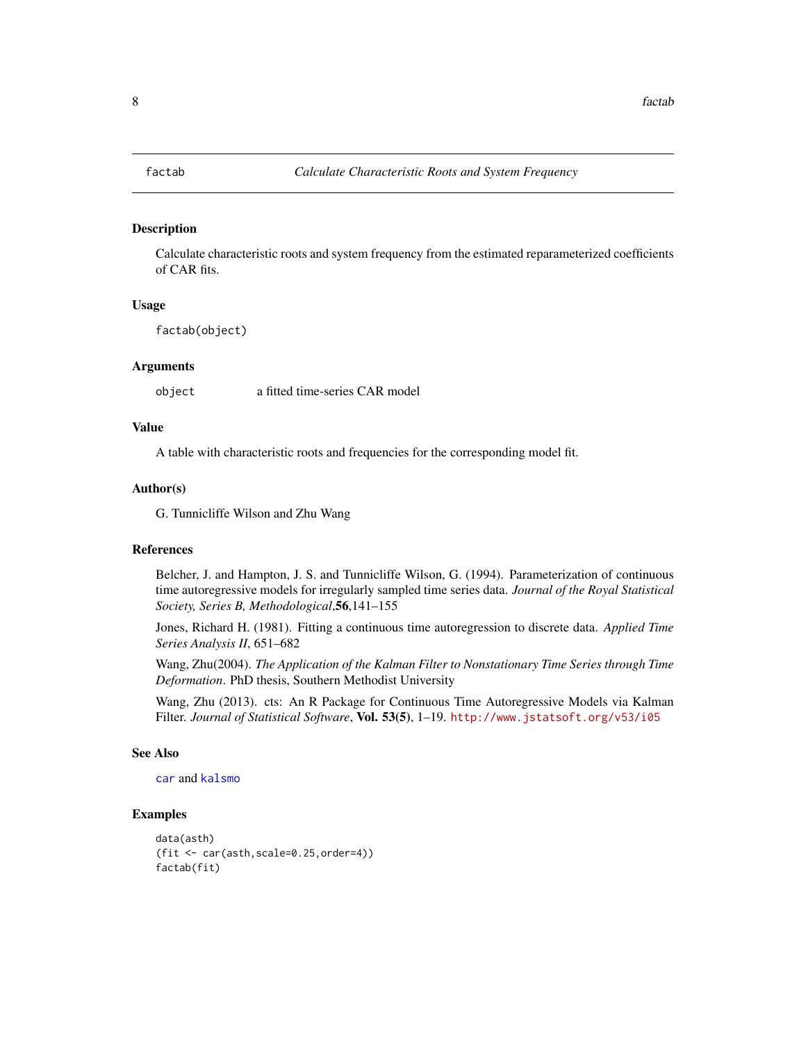<span id="page-7-0"></span>

# Description

Calculate characteristic roots and system frequency from the estimated reparameterized coefficients of CAR fits.

#### Usage

factab(object)

#### Arguments

object a fitted time-series CAR model

# Value

A table with characteristic roots and frequencies for the corresponding model fit.

#### Author(s)

G. Tunnicliffe Wilson and Zhu Wang

# References

Belcher, J. and Hampton, J. S. and Tunnicliffe Wilson, G. (1994). Parameterization of continuous time autoregressive models for irregularly sampled time series data. *Journal of the Royal Statistical Society, Series B, Methodological*,56,141–155

Jones, Richard H. (1981). Fitting a continuous time autoregression to discrete data. *Applied Time Series Analysis II*, 651–682

Wang, Zhu(2004). *The Application of the Kalman Filter to Nonstationary Time Series through Time Deformation*. PhD thesis, Southern Methodist University

Wang, Zhu (2013). cts: An R Package for Continuous Time Autoregressive Models via Kalman Filter. *Journal of Statistical Software*, Vol. 53(5), 1–19. <http://www.jstatsoft.org/v53/i05>

### See Also

[car](#page-1-1) and [kalsmo](#page-1-2)

#### Examples

```
data(asth)
(fit <- car(asth,scale=0.25,order=4))
factab(fit)
```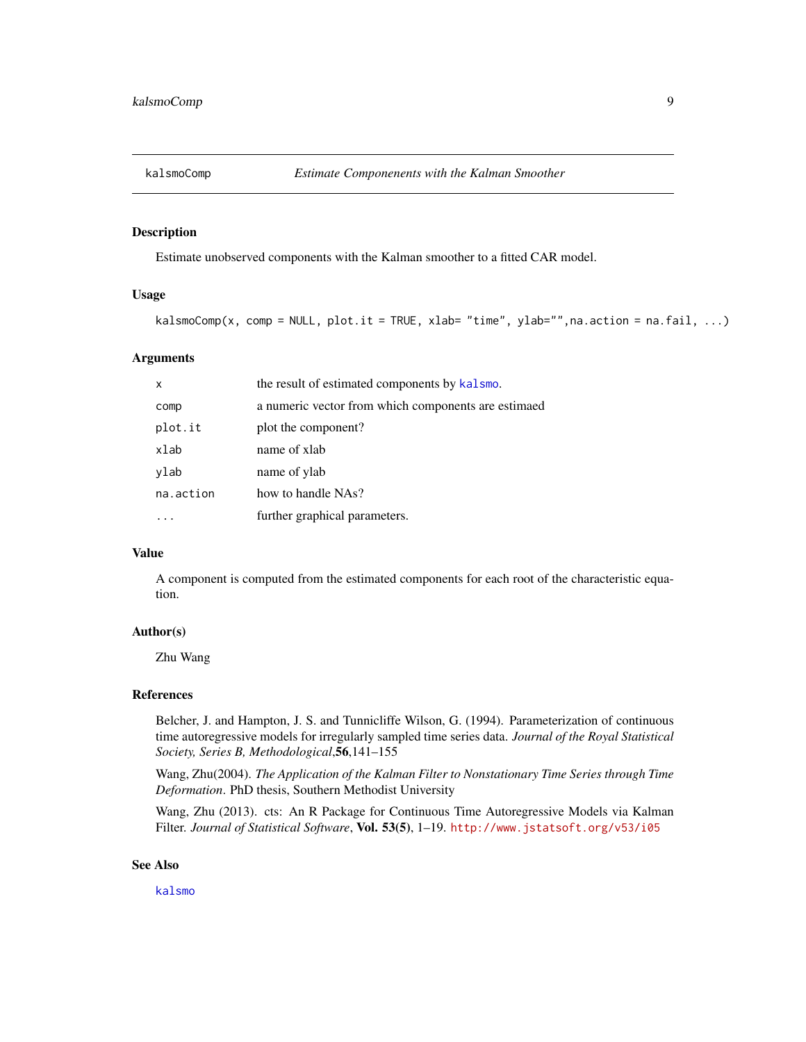<span id="page-8-0"></span>

# Description

Estimate unobserved components with the Kalman smoother to a fitted CAR model.

#### Usage

```
kalsmOComp(x, comp = NULL, plot.it = TRUE, xlab = "time", ylab = "", na. action = na.fail, ...)
```
# **Arguments**

| $\boldsymbol{\mathsf{x}}$ | the result of estimated components by kalsmo.       |
|---------------------------|-----------------------------------------------------|
| comp                      | a numeric vector from which components are estimaed |
| plot.it                   | plot the component?                                 |
| xlab                      | name of xlab                                        |
| ylab                      | name of ylab                                        |
| na.action                 | how to handle NAs?                                  |
|                           | further graphical parameters.                       |

# Value

A component is computed from the estimated components for each root of the characteristic equation.

# Author(s)

Zhu Wang

# References

Belcher, J. and Hampton, J. S. and Tunnicliffe Wilson, G. (1994). Parameterization of continuous time autoregressive models for irregularly sampled time series data. *Journal of the Royal Statistical Society, Series B, Methodological*,56,141–155

Wang, Zhu(2004). *The Application of the Kalman Filter to Nonstationary Time Series through Time Deformation*. PhD thesis, Southern Methodist University

Wang, Zhu (2013). cts: An R Package for Continuous Time Autoregressive Models via Kalman Filter. *Journal of Statistical Software*, Vol. 53(5), 1–19. <http://www.jstatsoft.org/v53/i05>

#### See Also

[kalsmo](#page-1-2)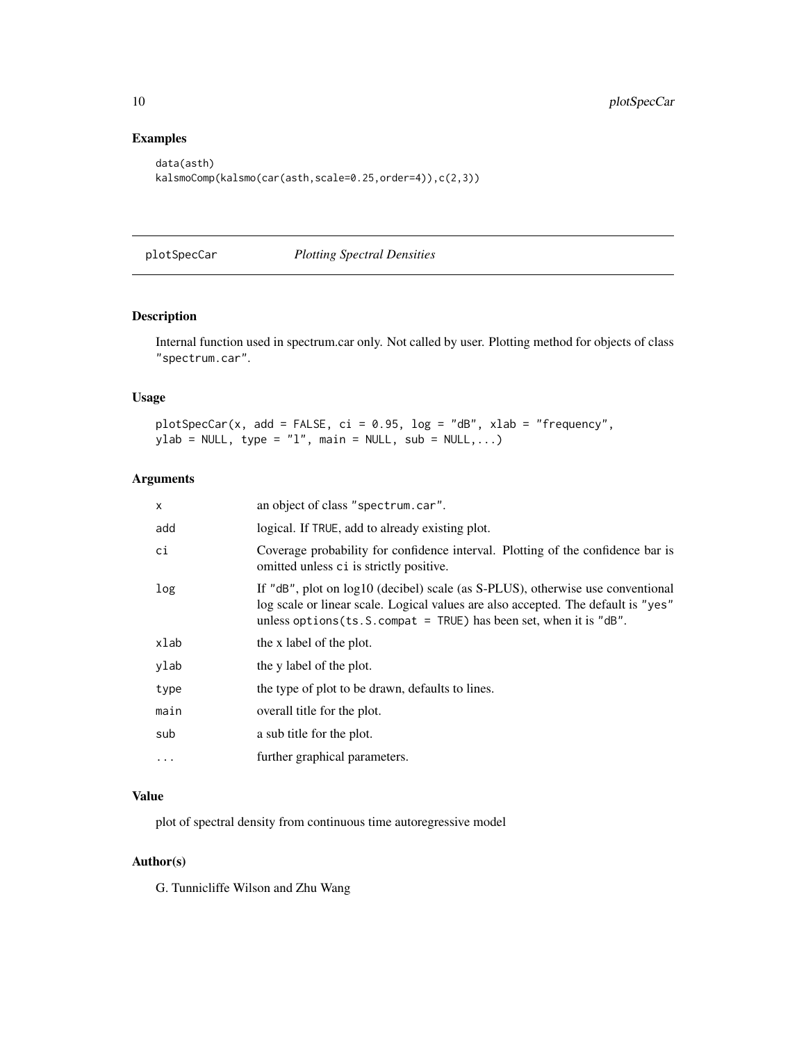# Examples

```
data(asth)
kalsmoComp(kalsmo(car(asth,scale=0.25,order=4)),c(2,3))
```
plotSpecCar *Plotting Spectral Densities*

# Description

Internal function used in spectrum.car only. Not called by user. Plotting method for objects of class "spectrum.car".

# Usage

plotSpecCar(x, add = FALSE, ci = 0.95, log = "dB", xlab = "frequency",  $ylab = NULL, type = "l", main = NULL, sub = NULL,...)$ 

# Arguments

| X         | an object of class "spectrum.car".                                                                                                                                                                                                                          |
|-----------|-------------------------------------------------------------------------------------------------------------------------------------------------------------------------------------------------------------------------------------------------------------|
| add       | logical. If TRUE, add to already existing plot.                                                                                                                                                                                                             |
| ci        | Coverage probability for confidence interval. Plotting of the confidence bar is<br>omitted unless ci is strictly positive.                                                                                                                                  |
| log       | If "dB", plot on log10 (decibel) scale (as S-PLUS), otherwise use conventional<br>log scale or linear scale. Logical values are also accepted. The default is "yes"<br>unless options $(ts. S. \text{compact} = \text{TRUE}$ has been set, when it is "dB". |
| xlab      | the x label of the plot.                                                                                                                                                                                                                                    |
| ylab      | the y label of the plot.                                                                                                                                                                                                                                    |
| type      | the type of plot to be drawn, defaults to lines.                                                                                                                                                                                                            |
| main      | overall title for the plot.                                                                                                                                                                                                                                 |
| sub       | a sub title for the plot.                                                                                                                                                                                                                                   |
| $\ddotsc$ | further graphical parameters.                                                                                                                                                                                                                               |
|           |                                                                                                                                                                                                                                                             |

# Value

plot of spectral density from continuous time autoregressive model

# Author(s)

G. Tunnicliffe Wilson and Zhu Wang

<span id="page-9-0"></span>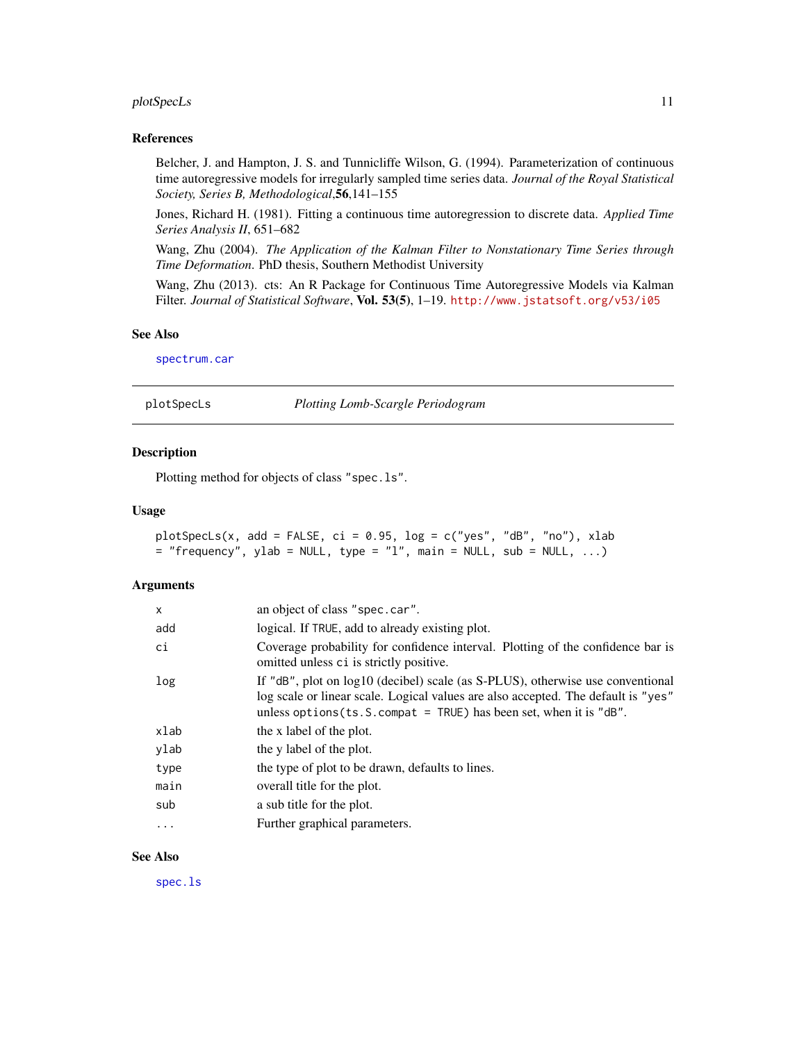# <span id="page-10-0"></span>plotSpecLs 11

#### References

Belcher, J. and Hampton, J. S. and Tunnicliffe Wilson, G. (1994). Parameterization of continuous time autoregressive models for irregularly sampled time series data. *Journal of the Royal Statistical Society, Series B, Methodological*,56,141–155

Jones, Richard H. (1981). Fitting a continuous time autoregression to discrete data. *Applied Time Series Analysis II*, 651–682

Wang, Zhu (2004). *The Application of the Kalman Filter to Nonstationary Time Series through Time Deformation*. PhD thesis, Southern Methodist University

Wang, Zhu (2013). cts: An R Package for Continuous Time Autoregressive Models via Kalman Filter. *Journal of Statistical Software*, Vol. 53(5), 1–19. <http://www.jstatsoft.org/v53/i05>

#### See Also

[spectrum.car](#page-1-2)

<span id="page-10-1"></span>plotSpecLs *Plotting Lomb-Scargle Periodogram*

### Description

Plotting method for objects of class "spec.ls".

#### Usage

```
plotSpecLs(x, add = FALSE, ci = 0.95, log = c("yes", "dB", "no"), xlab= "frequency", ylab = NULL, type = "l", main = NULL, sub = NULL, ...)
```
#### **Arguments**

| X       | an object of class "spec.car".                                                                                                                                                                                                                    |
|---------|---------------------------------------------------------------------------------------------------------------------------------------------------------------------------------------------------------------------------------------------------|
| add     | logical. If TRUE, add to already existing plot.                                                                                                                                                                                                   |
| ci      | Coverage probability for confidence interval. Plotting of the confidence bar is<br>omitted unless ci is strictly positive.                                                                                                                        |
| log     | If " $dB$ ", plot on $log10$ (decibel) scale (as S-PLUS), otherwise use conventional<br>log scale or linear scale. Logical values are also accepted. The default is "yes"<br>unless options (ts. S. compat = TRUE) has been set, when it is "dB". |
| xlab    | the x label of the plot.                                                                                                                                                                                                                          |
| ylab    | the y label of the plot.                                                                                                                                                                                                                          |
| type    | the type of plot to be drawn, defaults to lines.                                                                                                                                                                                                  |
| main    | overall title for the plot.                                                                                                                                                                                                                       |
| sub     | a sub title for the plot.                                                                                                                                                                                                                         |
| $\cdot$ | Further graphical parameters.                                                                                                                                                                                                                     |
|         |                                                                                                                                                                                                                                                   |

# See Also

[spec.ls](#page-11-1)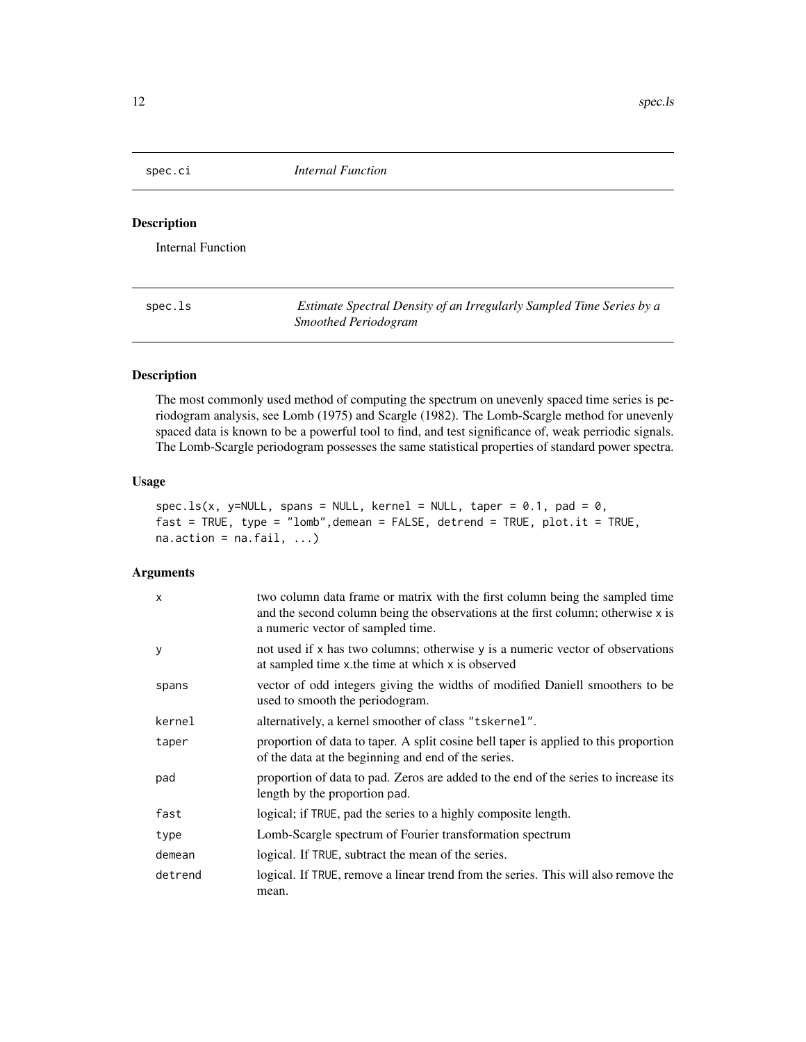<span id="page-11-0"></span>spec.ci *Internal Function*

# Description

Internal Function

<span id="page-11-1"></span>spec.ls *Estimate Spectral Density of an Irregularly Sampled Time Series by a Smoothed Periodogram*

# Description

The most commonly used method of computing the spectrum on unevenly spaced time series is periodogram analysis, see Lomb (1975) and Scargle (1982). The Lomb-Scargle method for unevenly spaced data is known to be a powerful tool to find, and test significance of, weak perriodic signals. The Lomb-Scargle periodogram possesses the same statistical properties of standard power spectra.

# Usage

```
spec.ls(x, y=NULL, spans = NULL, kernel = NULL, taper = 0.1, pad = 0,fast = TRUE, type = "lomb", demean = FALSE, detrend = TRUE, plot.it = TRUE,
na. action = na. fail, ...)
```
# Arguments

| $\mathsf{x}$ | two column data frame or matrix with the first column being the sampled time<br>and the second column being the observations at the first column; otherwise x is<br>a numeric vector of sampled time. |
|--------------|-------------------------------------------------------------------------------------------------------------------------------------------------------------------------------------------------------|
| y            | not used if x has two columns; otherwise y is a numeric vector of observations<br>at sampled time x the time at which x is observed                                                                   |
| spans        | vector of odd integers giving the widths of modified Daniell smoothers to be<br>used to smooth the periodogram.                                                                                       |
| kernel       | alternatively, a kernel smoother of class "tskernel".                                                                                                                                                 |
| taper        | proportion of data to taper. A split cosine bell taper is applied to this proportion<br>of the data at the beginning and end of the series.                                                           |
| pad          | proportion of data to pad. Zeros are added to the end of the series to increase its<br>length by the proportion pad.                                                                                  |
| fast         | logical; if TRUE, pad the series to a highly composite length.                                                                                                                                        |
| type         | Lomb-Scargle spectrum of Fourier transformation spectrum                                                                                                                                              |
| demean       | logical. If TRUE, subtract the mean of the series.                                                                                                                                                    |
| detrend      | logical. If TRUE, remove a linear trend from the series. This will also remove the<br>mean.                                                                                                           |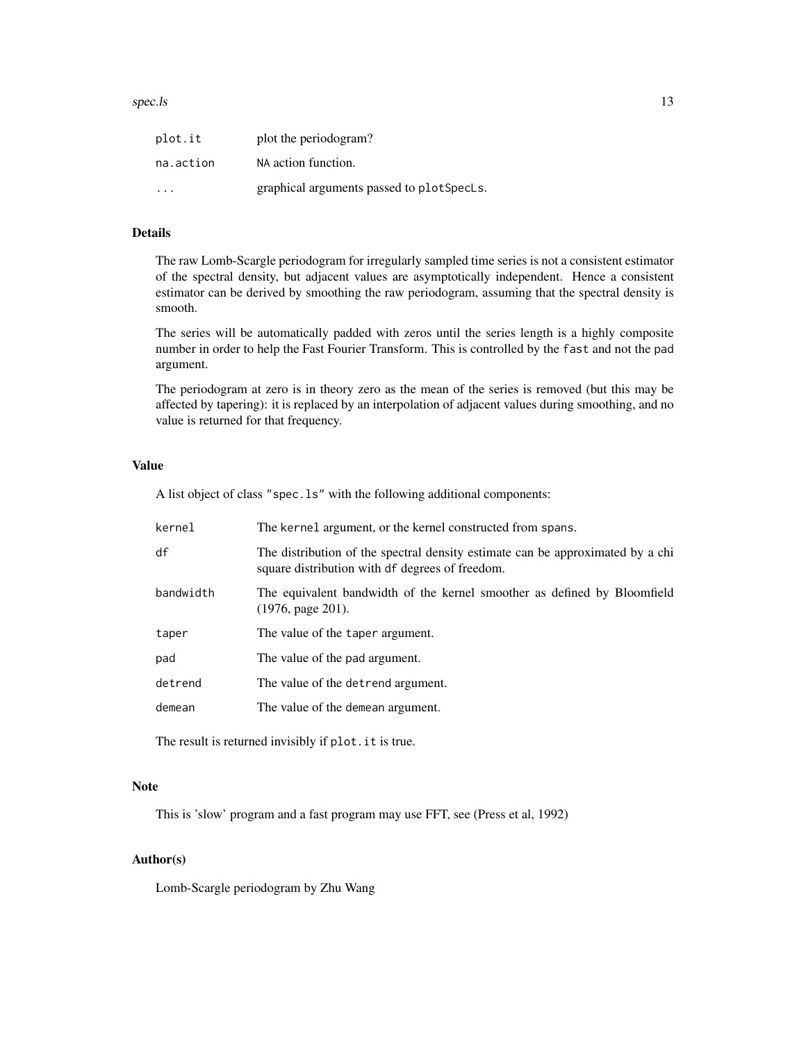| plot.it   | plot the periodogram?                      |
|-----------|--------------------------------------------|
| na.action | NA action function.                        |
| .         | graphical arguments passed to plot Spects. |

# Details

The raw Lomb-Scargle periodogram for irregularly sampled time series is not a consistent estimator of the spectral density, but adjacent values are asymptotically independent. Hence a consistent estimator can be derived by smoothing the raw periodogram, assuming that the spectral density is smooth.

The series will be automatically padded with zeros until the series length is a highly composite number in order to help the Fast Fourier Transform. This is controlled by the fast and not the pad argument.

The periodogram at zero is in theory zero as the mean of the series is removed (but this may be affected by tapering): it is replaced by an interpolation of adjacent values during smoothing, and no value is returned for that frequency.

#### Value

A list object of class "spec.ls" with the following additional components:

| kernel    | The kernel argument, or the kernel constructed from spans.                                                                        |
|-----------|-----------------------------------------------------------------------------------------------------------------------------------|
| df        | The distribution of the spectral density estimate can be approximated by a chi<br>square distribution with df degrees of freedom. |
| bandwidth | The equivalent bandwidth of the kernel smoother as defined by Bloomfield<br>$(1976, \text{page } 201).$                           |
| taper     | The value of the taper argument.                                                                                                  |
| pad       | The value of the pad argument.                                                                                                    |
| detrend   | The value of the detrend argument.                                                                                                |
| demean    | The value of the demean argument.                                                                                                 |

The result is returned invisibly if plot.it is true.

# Note

This is 'slow' program and a fast program may use FFT, see (Press et al, 1992)

# Author(s)

Lomb-Scargle periodogram by Zhu Wang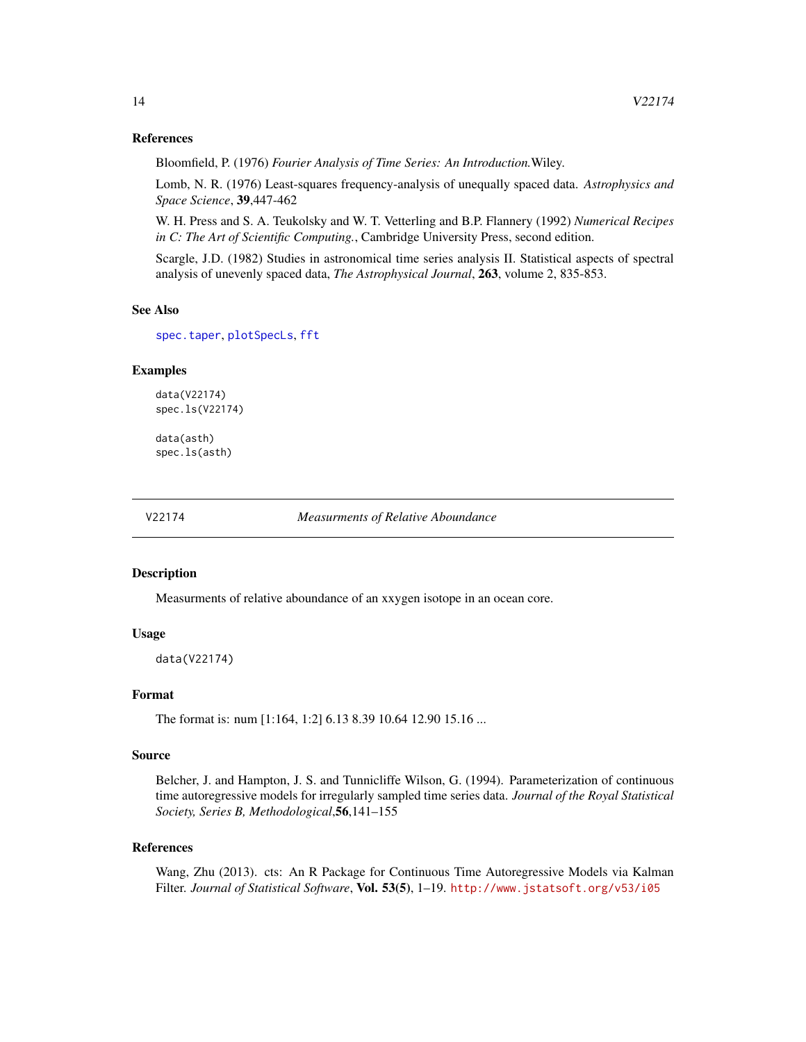#### References

Bloomfield, P. (1976) *Fourier Analysis of Time Series: An Introduction.*Wiley.

Lomb, N. R. (1976) Least-squares frequency-analysis of unequally spaced data. *Astrophysics and Space Science*, 39,447-462

W. H. Press and S. A. Teukolsky and W. T. Vetterling and B.P. Flannery (1992) *Numerical Recipes in C: The Art of Scientific Computing.*, Cambridge University Press, second edition.

Scargle, J.D. (1982) Studies in astronomical time series analysis II. Statistical aspects of spectral analysis of unevenly spaced data, *The Astrophysical Journal*, 263, volume 2, 835-853.

# See Also

[spec.taper](#page-0-0), [plotSpecLs](#page-10-1), [fft](#page-0-0)

#### Examples

data(V22174) spec.ls(V22174)

data(asth) spec.ls(asth)

V22174 *Measurments of Relative Aboundance*

#### **Description**

Measurments of relative aboundance of an xxygen isotope in an ocean core.

#### Usage

data(V22174)

#### Format

The format is: num [1:164, 1:2] 6.13 8.39 10.64 12.90 15.16 ...

#### Source

Belcher, J. and Hampton, J. S. and Tunnicliffe Wilson, G. (1994). Parameterization of continuous time autoregressive models for irregularly sampled time series data. *Journal of the Royal Statistical Society, Series B, Methodological*,56,141–155

# References

Wang, Zhu (2013). cts: An R Package for Continuous Time Autoregressive Models via Kalman Filter. *Journal of Statistical Software*, Vol. 53(5), 1–19. <http://www.jstatsoft.org/v53/i05>

<span id="page-13-0"></span>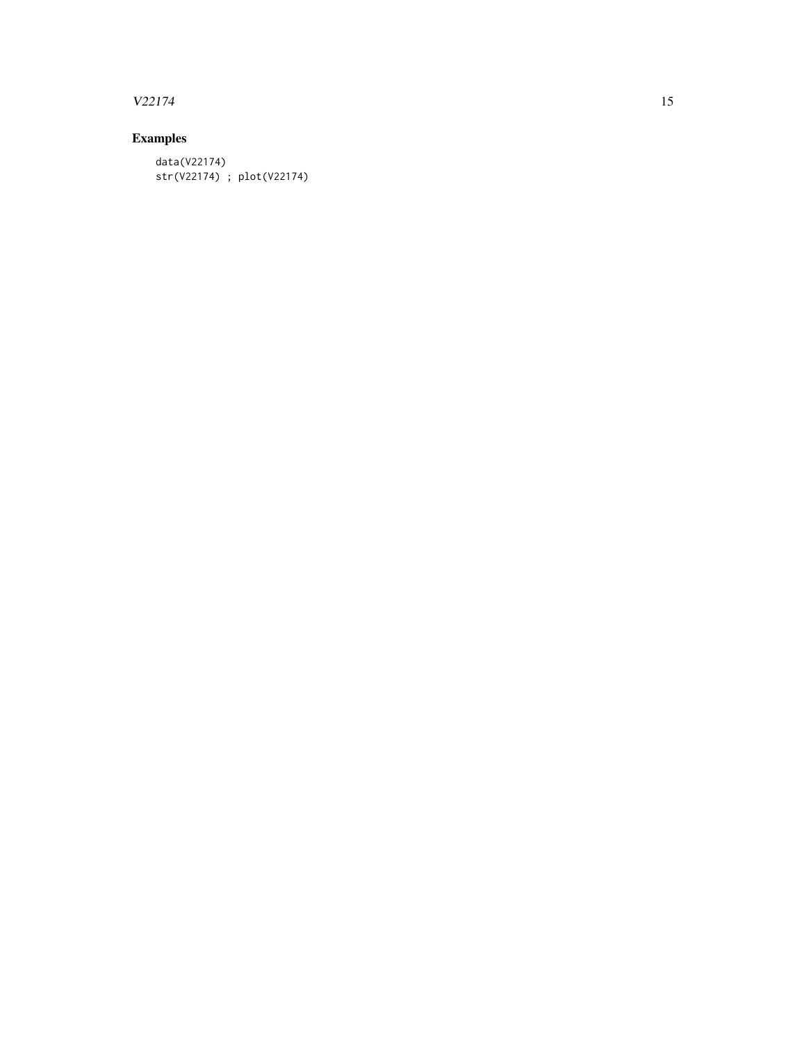# $V22174$  15

# Examples

data(V22174) str(V22174) ; plot(V22174)